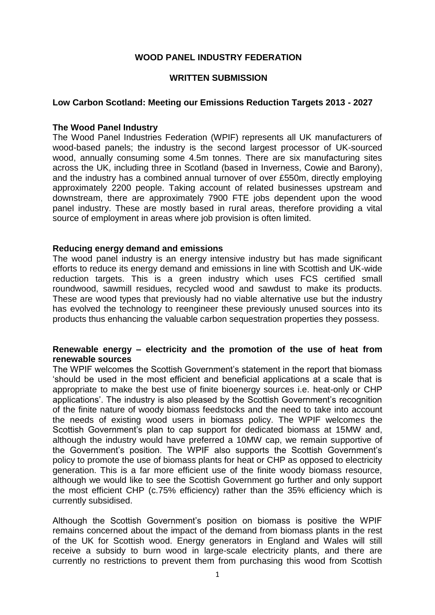# **WOOD PANEL INDUSTRY FEDERATION**

#### **WRITTEN SUBMISSION**

### **Low Carbon Scotland: Meeting our Emissions Reduction Targets 2013 - 2027**

#### **The Wood Panel Industry**

The Wood Panel Industries Federation (WPIF) represents all UK manufacturers of wood-based panels; the industry is the second largest processor of UK-sourced wood, annually consuming some 4.5m tonnes. There are six manufacturing sites across the UK, including three in Scotland (based in Inverness, Cowie and Barony), and the industry has a combined annual turnover of over £550m, directly employing approximately 2200 people. Taking account of related businesses upstream and downstream, there are approximately 7900 FTE jobs dependent upon the wood panel industry. These are mostly based in rural areas, therefore providing a vital source of employment in areas where job provision is often limited.

### **Reducing energy demand and emissions**

The wood panel industry is an energy intensive industry but has made significant efforts to reduce its energy demand and emissions in line with Scottish and UK-wide reduction targets. This is a green industry which uses FCS certified small roundwood, sawmill residues, recycled wood and sawdust to make its products. These are wood types that previously had no viable alternative use but the industry has evolved the technology to reengineer these previously unused sources into its products thus enhancing the valuable carbon sequestration properties they possess.

# **Renewable energy – electricity and the promotion of the use of heat from renewable sources**

The WPIF welcomes the Scottish Government's statement in the report that biomass 'should be used in the most efficient and beneficial applications at a scale that is appropriate to make the best use of finite bioenergy sources i.e. heat-only or CHP applications'. The industry is also pleased by the Scottish Government's recognition of the finite nature of woody biomass feedstocks and the need to take into account the needs of existing wood users in biomass policy. The WPIF welcomes the Scottish Government's plan to cap support for dedicated biomass at 15MW and, although the industry would have preferred a 10MW cap, we remain supportive of the Government's position. The WPIF also supports the Scottish Government's policy to promote the use of biomass plants for heat or CHP as opposed to electricity generation. This is a far more efficient use of the finite woody biomass resource, although we would like to see the Scottish Government go further and only support the most efficient CHP (c.75% efficiency) rather than the 35% efficiency which is currently subsidised.

Although the Scottish Government's position on biomass is positive the WPIF remains concerned about the impact of the demand from biomass plants in the rest of the UK for Scottish wood. Energy generators in England and Wales will still receive a subsidy to burn wood in large-scale electricity plants, and there are currently no restrictions to prevent them from purchasing this wood from Scottish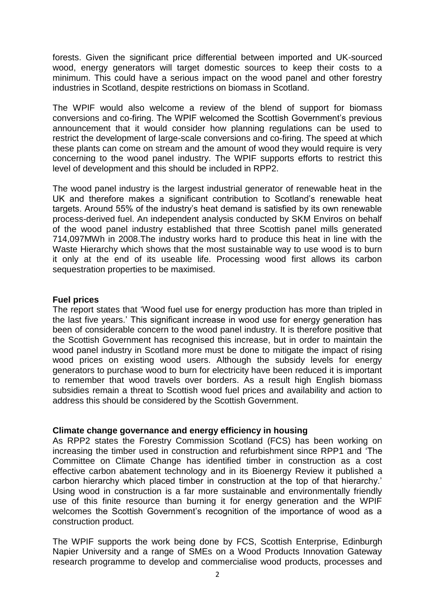forests. Given the significant price differential between imported and UK-sourced wood, energy generators will target domestic sources to keep their costs to a minimum. This could have a serious impact on the wood panel and other forestry industries in Scotland, despite restrictions on biomass in Scotland.

The WPIF would also welcome a review of the blend of support for biomass conversions and co-firing. The WPIF welcomed the Scottish Government's previous announcement that it would consider how planning regulations can be used to restrict the development of large-scale conversions and co-firing. The speed at which these plants can come on stream and the amount of wood they would require is very concerning to the wood panel industry. The WPIF supports efforts to restrict this level of development and this should be included in RPP2.

The wood panel industry is the largest industrial generator of renewable heat in the UK and therefore makes a significant contribution to Scotland's renewable heat targets. Around 55% of the industry's heat demand is satisfied by its own renewable process-derived fuel. An independent analysis conducted by SKM Enviros on behalf of the wood panel industry established that three Scottish panel mills generated 714,097MWh in 2008.The industry works hard to produce this heat in line with the Waste Hierarchy which shows that the most sustainable way to use wood is to burn it only at the end of its useable life. Processing wood first allows its carbon sequestration properties to be maximised.

### **Fuel prices**

The report states that 'Wood fuel use for energy production has more than tripled in the last five years.' This significant increase in wood use for energy generation has been of considerable concern to the wood panel industry. It is therefore positive that the Scottish Government has recognised this increase, but in order to maintain the wood panel industry in Scotland more must be done to mitigate the impact of rising wood prices on existing wood users. Although the subsidy levels for energy generators to purchase wood to burn for electricity have been reduced it is important to remember that wood travels over borders. As a result high English biomass subsidies remain a threat to Scottish wood fuel prices and availability and action to address this should be considered by the Scottish Government.

# **Climate change governance and energy efficiency in housing**

As RPP2 states the Forestry Commission Scotland (FCS) has been working on increasing the timber used in construction and refurbishment since RPP1 and 'The Committee on Climate Change has identified timber in construction as a cost effective carbon abatement technology and in its Bioenergy Review it published a carbon hierarchy which placed timber in construction at the top of that hierarchy.' Using wood in construction is a far more sustainable and environmentally friendly use of this finite resource than burning it for energy generation and the WPIF welcomes the Scottish Government's recognition of the importance of wood as a construction product.

The WPIF supports the work being done by FCS, Scottish Enterprise, Edinburgh Napier University and a range of SMEs on a Wood Products Innovation Gateway research programme to develop and commercialise wood products, processes and